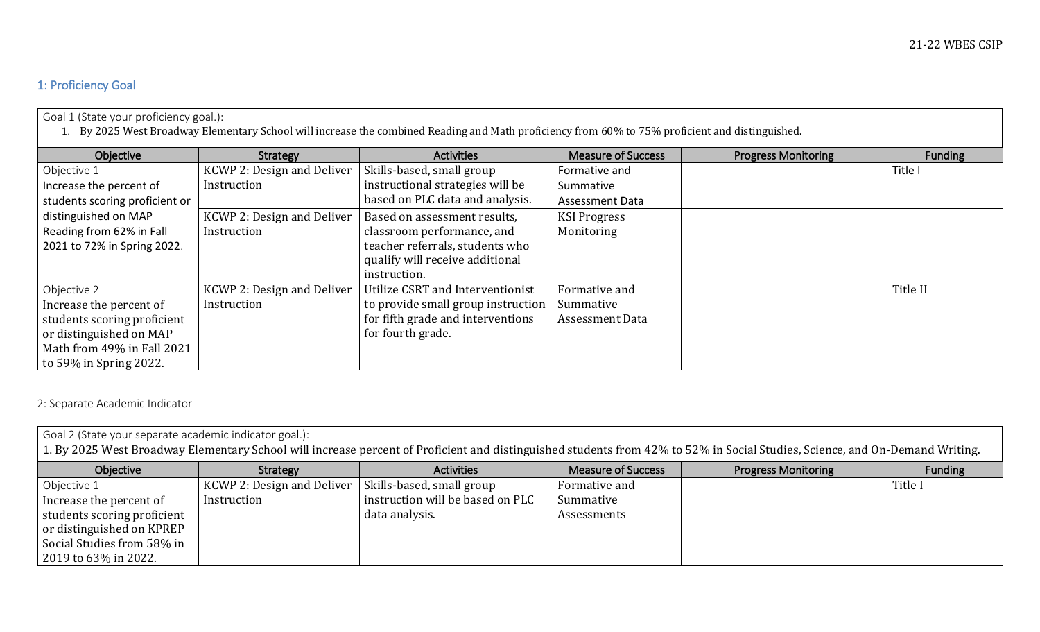## 1: Proficiency Goal

| Goal 1 (State your proficiency goal.):                                                                                                           |                            |                                    |                           |                            |                |  |
|--------------------------------------------------------------------------------------------------------------------------------------------------|----------------------------|------------------------------------|---------------------------|----------------------------|----------------|--|
| 1. By 2025 West Broadway Elementary School will increase the combined Reading and Math proficiency from 60% to 75% proficient and distinguished. |                            |                                    |                           |                            |                |  |
| Objective                                                                                                                                        | Strategy                   | <b>Activities</b>                  | <b>Measure of Success</b> | <b>Progress Monitoring</b> | <b>Funding</b> |  |
| Objective 1                                                                                                                                      | KCWP 2: Design and Deliver | Skills-based, small group          | Formative and             |                            | Title I        |  |
| Increase the percent of                                                                                                                          | Instruction                | instructional strategies will be   | Summative                 |                            |                |  |
| students scoring proficient or                                                                                                                   |                            | based on PLC data and analysis.    | Assessment Data           |                            |                |  |
| distinguished on MAP                                                                                                                             | KCWP 2: Design and Deliver | Based on assessment results,       | <b>KSI Progress</b>       |                            |                |  |
| Reading from 62% in Fall                                                                                                                         | Instruction                | classroom performance, and         | Monitoring                |                            |                |  |
| 2021 to 72% in Spring 2022.                                                                                                                      |                            | teacher referrals, students who    |                           |                            |                |  |
|                                                                                                                                                  |                            | qualify will receive additional    |                           |                            |                |  |
|                                                                                                                                                  |                            | instruction.                       |                           |                            |                |  |
| Objective 2                                                                                                                                      | KCWP 2: Design and Deliver | Utilize CSRT and Interventionist   | Formative and             |                            | Title II       |  |
| Increase the percent of                                                                                                                          | Instruction                | to provide small group instruction | Summative                 |                            |                |  |
| students scoring proficient                                                                                                                      |                            | for fifth grade and interventions  | <b>Assessment Data</b>    |                            |                |  |
| or distinguished on MAP                                                                                                                          |                            | for fourth grade.                  |                           |                            |                |  |
| Math from 49% in Fall 2021                                                                                                                       |                            |                                    |                           |                            |                |  |
| to 59% in Spring 2022.                                                                                                                           |                            |                                    |                           |                            |                |  |

2: Separate Academic Indicator

| Goal 2 (State your separate academic indicator goal.):<br>1. By 2025 West Broadway Elementary School will increase percent of Proficient and distinguished students from 42% to 52% in Social Studies, Science, and On-Demand Writing. |                            |                                  |                           |                            |         |  |
|----------------------------------------------------------------------------------------------------------------------------------------------------------------------------------------------------------------------------------------|----------------------------|----------------------------------|---------------------------|----------------------------|---------|--|
| Objective                                                                                                                                                                                                                              | Strategy                   | <b>Activities</b>                | <b>Measure of Success</b> | <b>Progress Monitoring</b> | Funding |  |
| Objective 1                                                                                                                                                                                                                            | KCWP 2: Design and Deliver | Skills-based, small group        | Formative and             |                            | Title I |  |
| Increase the percent of                                                                                                                                                                                                                | Instruction                | instruction will be based on PLC | Summative                 |                            |         |  |
| students scoring proficient                                                                                                                                                                                                            |                            | data analysis.                   | Assessments               |                            |         |  |
| or distinguished on KPREP                                                                                                                                                                                                              |                            |                                  |                           |                            |         |  |
| Social Studies from 58% in                                                                                                                                                                                                             |                            |                                  |                           |                            |         |  |
| 2019 to 63% in 2022.                                                                                                                                                                                                                   |                            |                                  |                           |                            |         |  |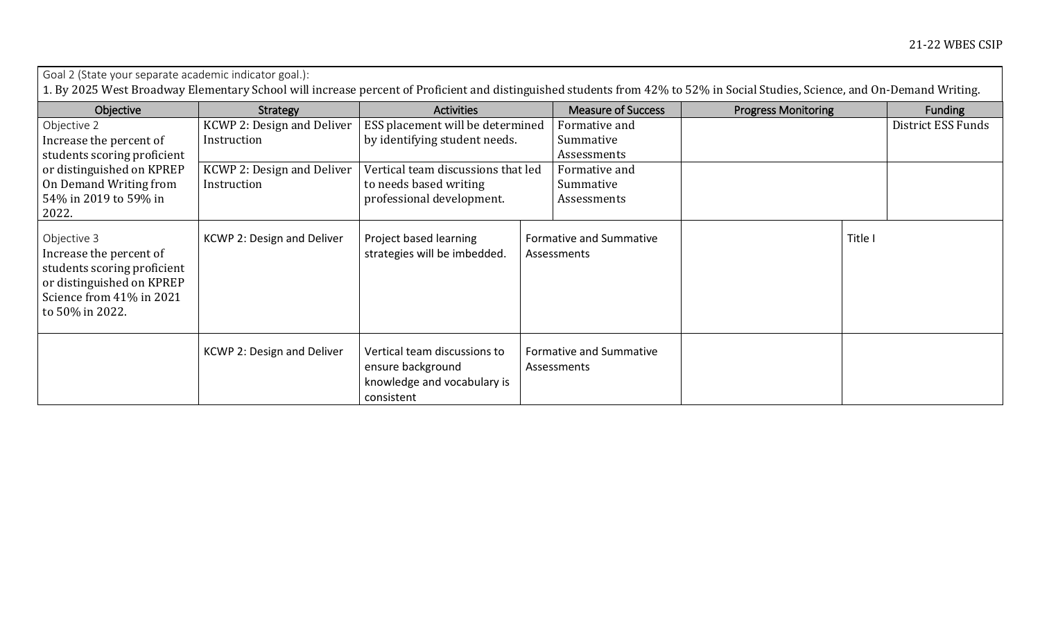| Goal 2 (State your separate academic indicator goal.):<br>1. By 2025 West Broadway Elementary School will increase percent of Proficient and distinguished students from 42% to 52% in Social Studies, Science, and On-Demand Writing. |                                           |                                                                                                |                                           |                            |                    |  |
|----------------------------------------------------------------------------------------------------------------------------------------------------------------------------------------------------------------------------------------|-------------------------------------------|------------------------------------------------------------------------------------------------|-------------------------------------------|----------------------------|--------------------|--|
| Objective                                                                                                                                                                                                                              | Strategy                                  | <b>Activities</b>                                                                              | <b>Measure of Success</b>                 | <b>Progress Monitoring</b> | <b>Funding</b>     |  |
| Objective 2<br>Increase the percent of<br>students scoring proficient<br>or distinguished on KPREP<br>On Demand Writing from<br>54% in 2019 to 59% in<br>2022.                                                                         | KCWP 2: Design and Deliver<br>Instruction | ESS placement will be determined<br>by identifying student needs.                              | Formative and<br>Summative<br>Assessments |                            | District ESS Funds |  |
|                                                                                                                                                                                                                                        | KCWP 2: Design and Deliver<br>Instruction | Vertical team discussions that led<br>to needs based writing<br>professional development.      | Formative and<br>Summative<br>Assessments |                            |                    |  |
| Objective 3<br>Increase the percent of<br>students scoring proficient<br>or distinguished on KPREP<br>Science from 41% in 2021<br>to 50% in 2022.                                                                                      | KCWP 2: Design and Deliver                | Project based learning<br>strategies will be imbedded.                                         | Formative and Summative<br>Assessments    | Title I                    |                    |  |
|                                                                                                                                                                                                                                        | KCWP 2: Design and Deliver                | Vertical team discussions to<br>ensure background<br>knowledge and vocabulary is<br>consistent | Formative and Summative<br>Assessments    |                            |                    |  |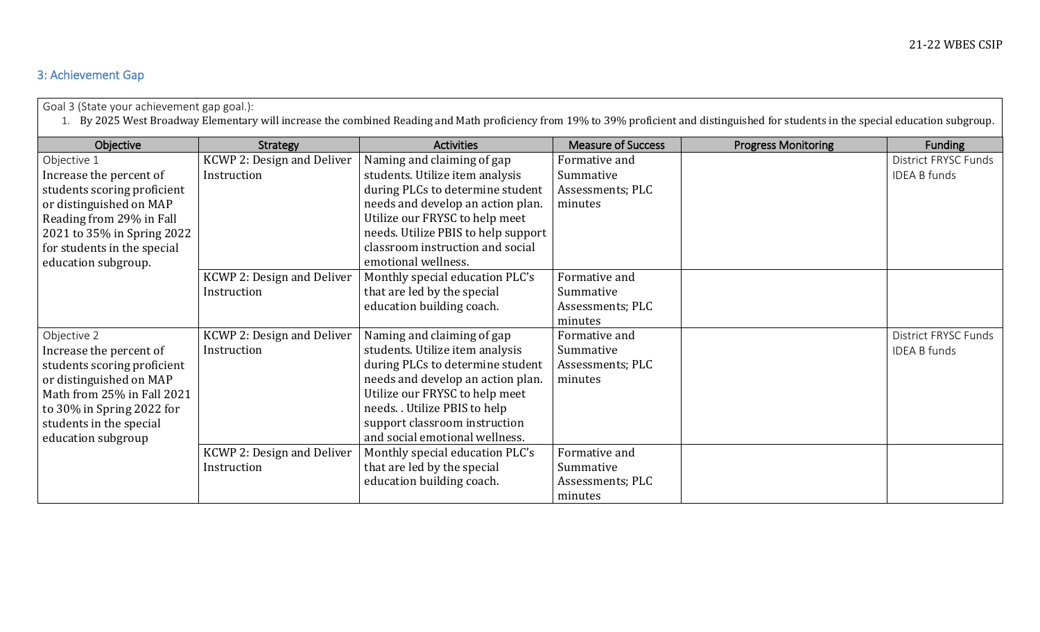## 3: Achievement Gap

Goal 3 (State your achievement gap goal.):

1. By 2025 West Broadway Elementary will increase the combined Reading and Math proficiency from 19% to 39% proficient and distinguished for students in the special education subgroup.

| Objective                   | Strategy                          | <b>Activities</b>                   | <b>Measure of Success</b> | <b>Progress Monitoring</b> | <b>Funding</b>       |
|-----------------------------|-----------------------------------|-------------------------------------|---------------------------|----------------------------|----------------------|
| Objective 1                 | KCWP 2: Design and Deliver        | Naming and claiming of gap          | Formative and             |                            | District FRYSC Funds |
| Increase the percent of     | Instruction                       | students. Utilize item analysis     | Summative                 |                            | <b>IDEA B funds</b>  |
| students scoring proficient |                                   | during PLCs to determine student    | Assessments; PLC          |                            |                      |
| or distinguished on MAP     |                                   | needs and develop an action plan.   | minutes                   |                            |                      |
| Reading from 29% in Fall    |                                   | Utilize our FRYSC to help meet      |                           |                            |                      |
| 2021 to 35% in Spring 2022  |                                   | needs. Utilize PBIS to help support |                           |                            |                      |
| for students in the special |                                   | classroom instruction and social    |                           |                            |                      |
| education subgroup.         |                                   | emotional wellness.                 |                           |                            |                      |
|                             | KCWP 2: Design and Deliver        | Monthly special education PLC's     | Formative and             |                            |                      |
|                             | Instruction                       | that are led by the special         | Summative                 |                            |                      |
|                             |                                   | education building coach.           | Assessments; PLC          |                            |                      |
|                             |                                   |                                     | minutes                   |                            |                      |
| Objective 2                 | <b>KCWP 2: Design and Deliver</b> | Naming and claiming of gap          | Formative and             |                            | District FRYSC Funds |
| Increase the percent of     | Instruction                       | students. Utilize item analysis     | Summative                 |                            | <b>IDEA B funds</b>  |
| students scoring proficient |                                   | during PLCs to determine student    | Assessments; PLC          |                            |                      |
| or distinguished on MAP     |                                   | needs and develop an action plan.   | minutes                   |                            |                      |
| Math from 25% in Fall 2021  |                                   | Utilize our FRYSC to help meet      |                           |                            |                      |
| to 30% in Spring 2022 for   |                                   | needs. . Utilize PBIS to help       |                           |                            |                      |
| students in the special     |                                   | support classroom instruction       |                           |                            |                      |
| education subgroup          |                                   | and social emotional wellness.      |                           |                            |                      |
|                             | KCWP 2: Design and Deliver        | Monthly special education PLC's     | Formative and             |                            |                      |
|                             | Instruction                       | that are led by the special         | Summative                 |                            |                      |
|                             |                                   | education building coach.           | Assessments; PLC          |                            |                      |
|                             |                                   |                                     | minutes                   |                            |                      |